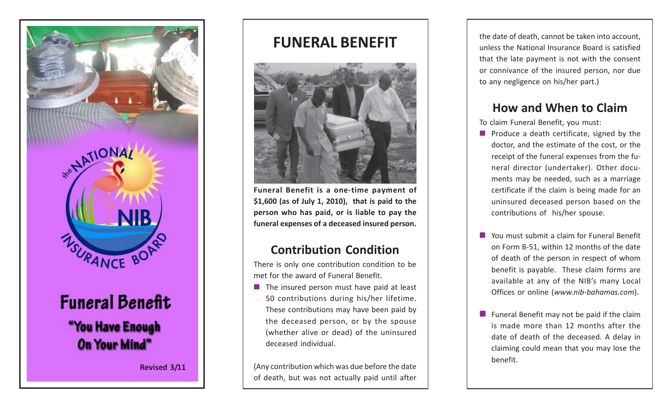

# **Funeral Benefit** "You Have Enough **On Your Mind"**

**Revised 3/11**

# **FUNERAL BENEFIT**



**Funeral Benefit is a one-time payment of \$1,600 (as of July 1, 2010), that is paid to the person who has paid, or is liable to pay the funeral expenses of a deceased insured person.**

#### **Contribution Condition**

There is only one contribution condition to be met for the award of Funeral Benefit.

 $\blacksquare$  The insured person must have paid at least 50 contributions during his/her lifetime. These contributions may have been paid by the deceased person, or by the spouse (whether alive or dead) of the uninsured deceased individual.

(Any contribution which was due before the date of death, but was not actually paid until after the date of death, cannot be taken into account, unless the National Insurance Board is satisfied that the late payment is not with the consent or connivance of the insured person, nor due to any negligence on his/her part.)

## **How and When to Claim**

To claim Funeral Benefit, you must:

- $\blacksquare$  Produce a death certificate, signed by the doctor, and the estimate of the cost, or the receipt of the funeral expenses from the funeral director (undertaker). Other documents may be needed, such as a marriage certificate if the claim is being made for an uninsured deceased person based on the contributions of his/her spouse.
- **Nou must submit a claim for Funeral Benefit** on Form B-51, within 12 months of the date of death of the person in respect of whom benefit is payable. These claim forms are available at any of the NIB's many Local Offices or online (*www.nib-bahamas.com*).
- **Funeral Benefit may not be paid if the claim** is made more than 12 months after the date of death of the deceased. A delay in claiming could mean that you may lose the benefit.